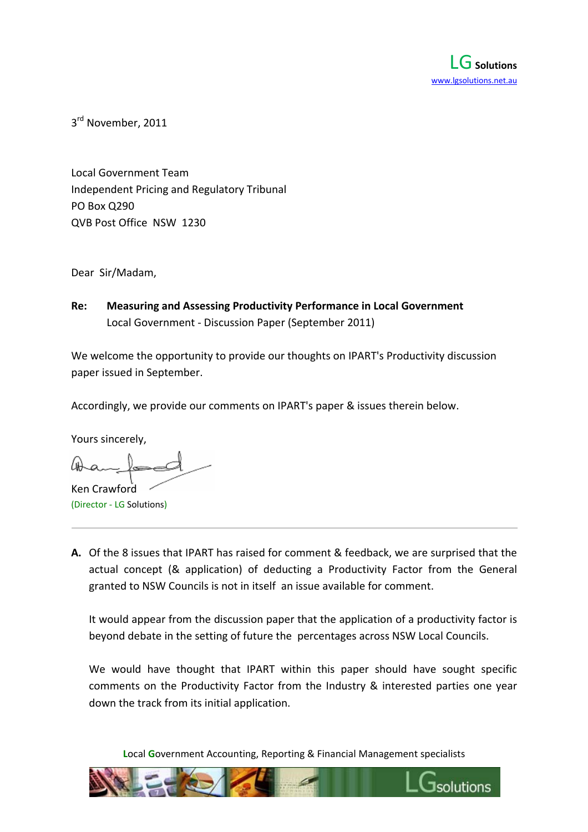

3<sup>rd</sup> November, 2011

Local Government Team Independent Pricing and Regulatory Tribunal PO Box Q290 QVB Post Office NSW 1230

Dear Sir/Madam,

**Re: Measuring and Assessing Productivity Performance in Local Government** Local Government ‐ Discussion Paper (September 2011)

We welcome the opportunity to provide our thoughts on IPART's Productivity discussion paper issued in September.

Accordingly, we provide our comments on IPART's paper & issues therein below.

Yours sincerely,

Ken Crawford (Director ‐ LG Solutions)

**A.** Of the 8 issues that IPART has raised for comment & feedback, we are surprised that the actual concept (& application) of deducting a Productivity Factor from the General granted to NSW Councils is not in itself an issue available for comment.

It would appear from the discussion paper that the application of a productivity factor is beyond debate in the setting of future the percentages across NSW Local Councils.

We would have thought that IPART within this paper should have sought specific comments on the Productivity Factor from the Industry & interested parties one year down the track from its initial application.

**L**ocal **G**overnment Accounting, Reporting & Financial Management specialists

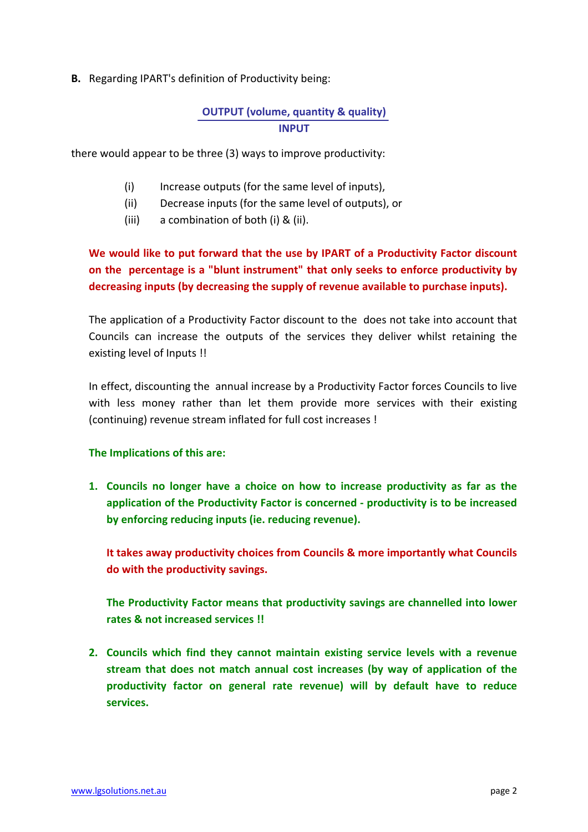## **B.** Regarding IPART's definition of Productivity being:

## **OUTPUT (volume, quantity & quality) INPUT**

there would appear to be three (3) ways to improve productivity:

- (i) Increase outputs (for the same level of inputs),
- (ii) Decrease inputs (for the same level of outputs), or
- (iii) a combination of both (i) & (ii).

# **We would like to put forward that the use by IPART of a Productivity Factor discount on the percentage is a "blunt instrument" that only seeks to enforce productivity by decreasing inputs (by decreasing the supply of revenue available to purchase inputs).**

The application of a Productivity Factor discount to the does not take into account that Councils can increase the outputs of the services they deliver whilst retaining the existing level of Inputs !!

In effect, discounting the annual increase by a Productivity Factor forces Councils to live with less money rather than let them provide more services with their existing (continuing) revenue stream inflated for full cost increases !

### **The Implications of this are:**

**1. Councils no longer have a choice on how to increase productivity as far as the application of the Productivity Factor is concerned ‐ productivity is to be increased by enforcing reducing inputs (ie. reducing revenue).**

**It takes away productivity choices from Councils & more importantly what Councils do with the productivity savings.**

**The Productivity Factor means that productivity savings are channelled into lower rates & not increased services !!**

**2. Councils which find they cannot maintain existing service levels with a revenue stream that does not match annual cost increases (by way of application of the productivity factor on general rate revenue) will by default have to reduce services.**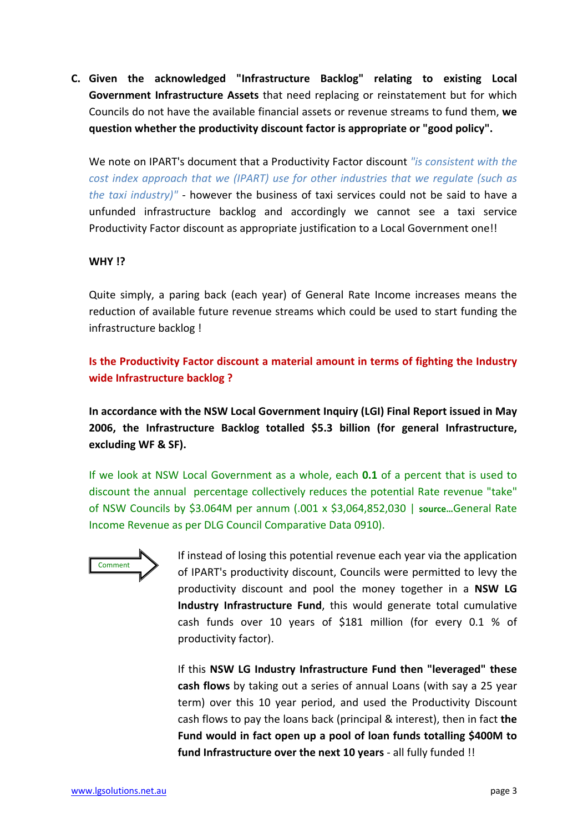**C. Given the acknowledged "Infrastructure Backlog" relating to existing Local Government Infrastructure Assets** that need replacing or reinstatement but for which Councils do not have the available financial assets or revenue streams to fund them, **we question whether the productivity discount factor is appropriate or "good policy".**

We note on IPART's document that a Productivity Factor discount *"is consistent with the cost index approach that we (IPART) use for other industries that we regulate (such as the taxi industry)"* ‐ however the business of taxi services could not be said to have a unfunded infrastructure backlog and accordingly we cannot see a taxi service Productivity Factor discount as appropriate justification to a Local Government one!!

### **WHY !?**

Quite simply, a paring back (each year) of General Rate Income increases means the reduction of available future revenue streams which could be used to start funding the infrastructure backlog !

**Is the Productivity Factor discount a material amount in terms of fighting the Industry wide Infrastructure backlog ?**

**In accordance with the NSW Local Government Inquiry (LGI) Final Report issued in May 2006, the Infrastructure Backlog totalled \$5.3 billion (for general Infrastructure, excluding WF & SF).**

If we look at NSW Local Government as a whole, each **0.1** of a percent that is used to discount the annual percentage collectively reduces the potential Rate revenue "take" of NSW Councils by \$3.064M per annum (.001 x \$3,064,852,030 | **source…**General Rate Income Revenue as per DLG Council Comparative Data 0910).



If instead of losing this potential revenue each year via the application of IPART's productivity discount, Councils were permitted to levy the productivity discount and pool the money together in a **NSW LG Industry Infrastructure Fund**, this would generate total cumulative cash funds over 10 years of \$181 million (for every 0.1 % of productivity factor).

If this **NSW LG Industry Infrastructure Fund then "leveraged" these cash flows** by taking out a series of annual Loans (with say a 25 year term) over this 10 year period, and used the Productivity Discount cash flows to pay the loans back (principal & interest), then in fact **the Fund would in fact open up a pool of loan funds totalling \$400M to fund Infrastructure over the next 10 years** ‐ all fully funded !!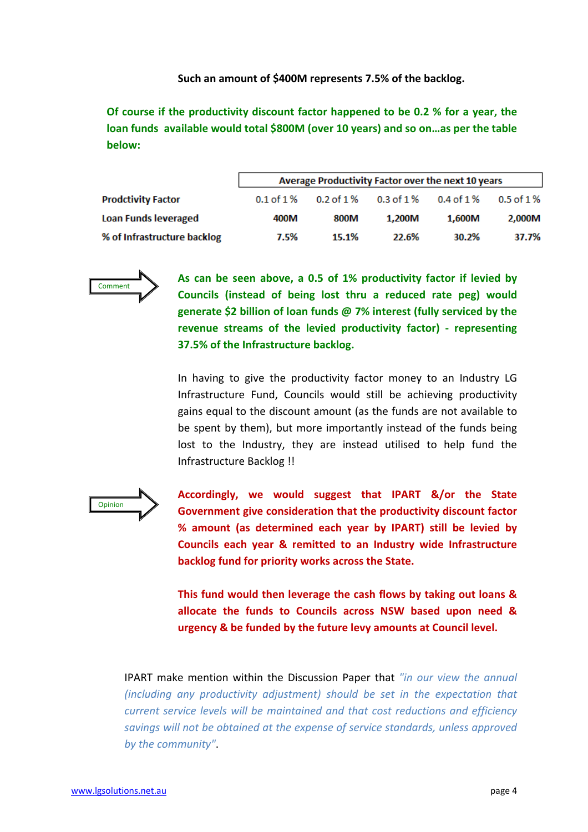#### **Such an amount of \$400M represents 7.5% of the backlog.**

**Of course if the productivity discount factor happened to be 0.2 % for a year, the loan funds available would total \$800M (over 10 years) and so on…as per the table below:**

| <b>Prodctivity Factor</b>   | Average Productivity Factor over the next 10 years |                  |                |              |               |  |  |  |
|-----------------------------|----------------------------------------------------|------------------|----------------|--------------|---------------|--|--|--|
|                             | $0.1 of 1\%$                                       | $0.2$ of $1\,\%$ | $0.3$ of $1\%$ | $0.4 of 1\%$ | $0.5$ of $1%$ |  |  |  |
| <b>Loan Funds leveraged</b> | 400M                                               | 800M             | 1.200M         | 1.600M       | 2,000M        |  |  |  |
| % of Infrastructure backlog | 7.5%                                               | 15.1%            | 22.6%          | 30.2%        | 37.7%         |  |  |  |



**As can be seen above, a 0.5 of 1% productivity factor if levied by Councils (instead of being lost thru a reduced rate peg) would generate \$2 billion of loan funds @ 7% interest (fully serviced by the revenue streams of the levied productivity factor) ‐ representing 37.5% of the Infrastructure backlog.**

In having to give the productivity factor money to an Industry LG Infrastructure Fund, Councils would still be achieving productivity gains equal to the discount amount (as the funds are not available to be spent by them), but more importantly instead of the funds being lost to the Industry, they are instead utilised to help fund the Infrastructure Backlog !!



**Accordingly, we would suggest that IPART &/or the State Government give consideration that the productivity discount factor % amount (as determined each year by IPART) still be levied by Councils each year & remitted to an Industry wide Infrastructure backlog fund for priority works across the State.**

**This fund would then leverage the cash flows by taking out loans & allocate the funds to Councils across NSW based upon need & urgency & be funded by the future levy amounts at Council level.**

IPART make mention within the Discussion Paper that *"in our view the annual (including any productivity adjustment) should be set in the expectation that current service levels will be maintained and that cost reductions and efficiency savings will not be obtained at the expense of service standards, unless approved by the community"*.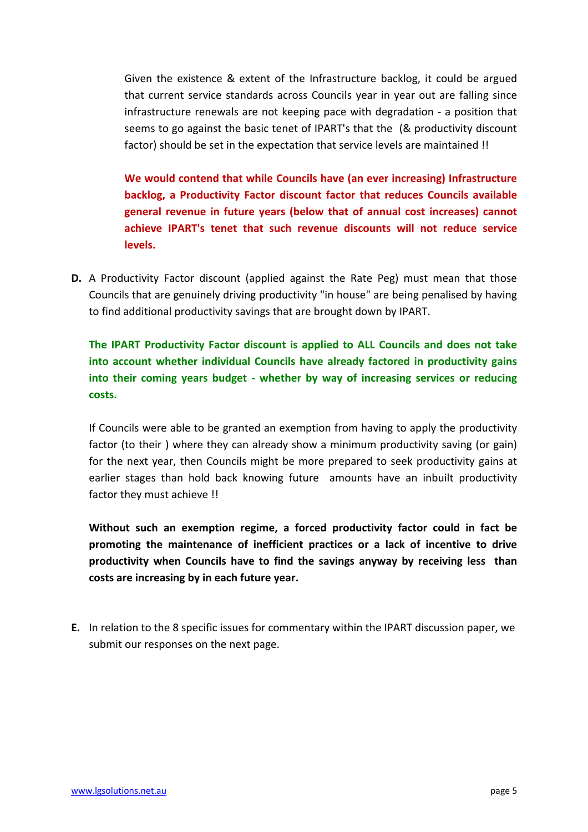Given the existence & extent of the Infrastructure backlog, it could be argued that current service standards across Councils year in year out are falling since infrastructure renewals are not keeping pace with degradation ‐ a position that seems to go against the basic tenet of IPART's that the (& productivity discount factor) should be set in the expectation that service levels are maintained !!

**We would contend that while Councils have (an ever increasing) Infrastructure backlog, a Productivity Factor discount factor that reduces Councils available general revenue in future years (below that of annual cost increases) cannot achieve IPART's tenet that such revenue discounts will not reduce service levels.** 

**D.** A Productivity Factor discount (applied against the Rate Peg) must mean that those Councils that are genuinely driving productivity "in house" are being penalised by having to find additional productivity savings that are brought down by IPART.

**The IPART Productivity Factor discount is applied to ALL Councils and does not take into account whether individual Councils have already factored in productivity gains into their coming years budget ‐ whether by way of increasing services or reducing costs.**

If Councils were able to be granted an exemption from having to apply the productivity factor (to their) where they can already show a minimum productivity saving (or gain) for the next year, then Councils might be more prepared to seek productivity gains at earlier stages than hold back knowing future amounts have an inbuilt productivity factor they must achieve !!

**Without such an exemption regime, a forced productivity factor could in fact be promoting the maintenance of inefficient practices or a lack of incentive to drive productivity when Councils have to find the savings anyway by receiving less than costs are increasing by in each future year.**

**E.** In relation to the 8 specific issues for commentary within the IPART discussion paper, we submit our responses on the next page.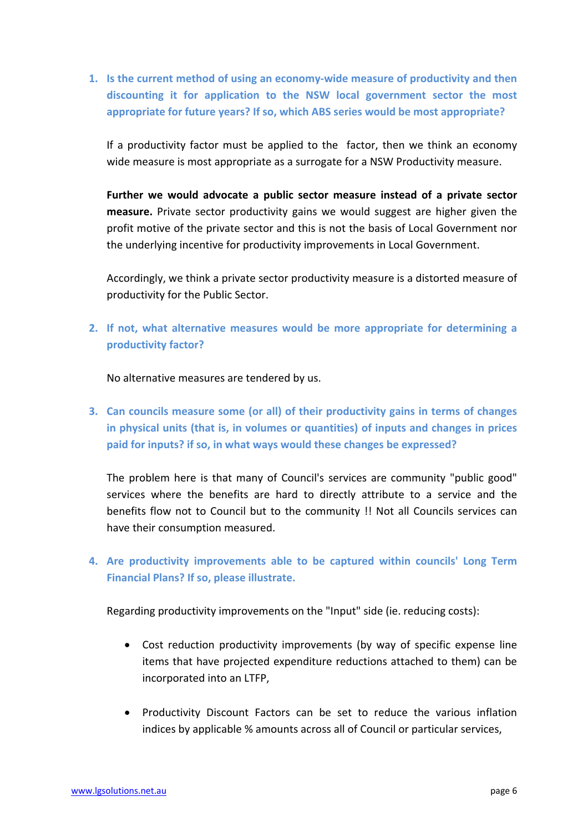**1. Is the current method of using an economy‐wide measure of productivity and then discounting it for application to the NSW local government sector the most appropriate for future years? If so, which ABS series would be most appropriate?**

If a productivity factor must be applied to the factor, then we think an economy wide measure is most appropriate as a surrogate for a NSW Productivity measure.

**Further we would advocate a public sector measure instead of a private sector measure.** Private sector productivity gains we would suggest are higher given the profit motive of the private sector and this is not the basis of Local Government nor the underlying incentive for productivity improvements in Local Government.

Accordingly, we think a private sector productivity measure is a distorted measure of productivity for the Public Sector.

**2. If not, what alternative measures would be more appropriate for determining a productivity factor?**

No alternative measures are tendered by us.

**3. Can councils measure some (or all) of their productivity gains in terms of changes in physical units (that is, in volumes or quantities) of inputs and changes in prices paid for inputs? if so, in what ways would these changes be expressed?**

The problem here is that many of Council's services are community "public good" services where the benefits are hard to directly attribute to a service and the benefits flow not to Council but to the community !! Not all Councils services can have their consumption measured.

**4. Are productivity improvements able to be captured within councils' Long Term Financial Plans? If so, please illustrate.**

Regarding productivity improvements on the "Input" side (ie. reducing costs):

- Cost reduction productivity improvements (by way of specific expense line items that have projected expenditure reductions attached to them) can be incorporated into an LTFP,
- Productivity Discount Factors can be set to reduce the various inflation indices by applicable % amounts across all of Council or particular services,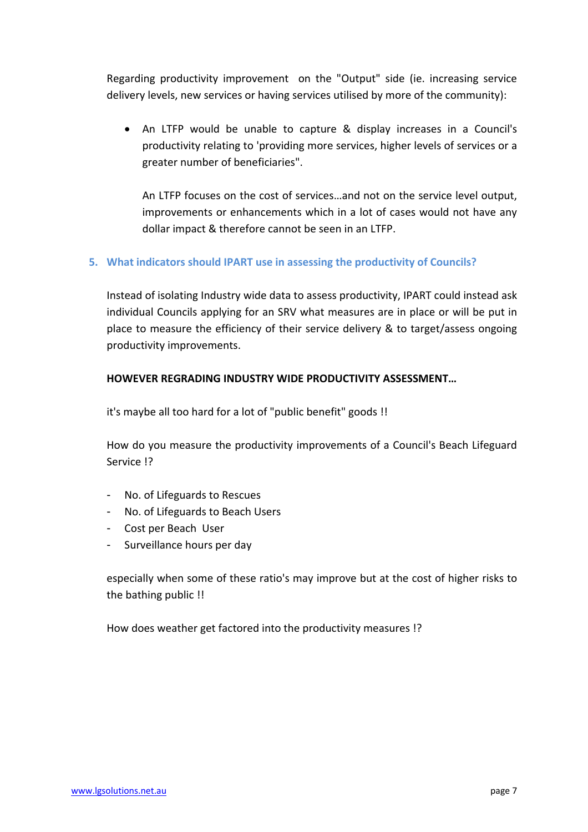Regarding productivity improvement on the "Output" side (ie. increasing service delivery levels, new services or having services utilised by more of the community):

 An LTFP would be unable to capture & display increases in a Council's productivity relating to 'providing more services, higher levels of services or a greater number of beneficiaries".

An LTFP focuses on the cost of services…and not on the service level output, improvements or enhancements which in a lot of cases would not have any dollar impact & therefore cannot be seen in an LTFP.

## **5. What indicators should IPART use in assessing the productivity of Councils?**

Instead of isolating Industry wide data to assess productivity, IPART could instead ask individual Councils applying for an SRV what measures are in place or will be put in place to measure the efficiency of their service delivery & to target/assess ongoing productivity improvements.

## **HOWEVER REGRADING INDUSTRY WIDE PRODUCTIVITY ASSESSMENT…**

it's maybe all too hard for a lot of "public benefit" goods !!

How do you measure the productivity improvements of a Council's Beach Lifeguard Service !?

- No. of Lifeguards to Rescues
- No. of Lifeguards to Beach Users
- Cost per Beach User
- Surveillance hours per day

especially when some of these ratio's may improve but at the cost of higher risks to the bathing public !!

How does weather get factored into the productivity measures !?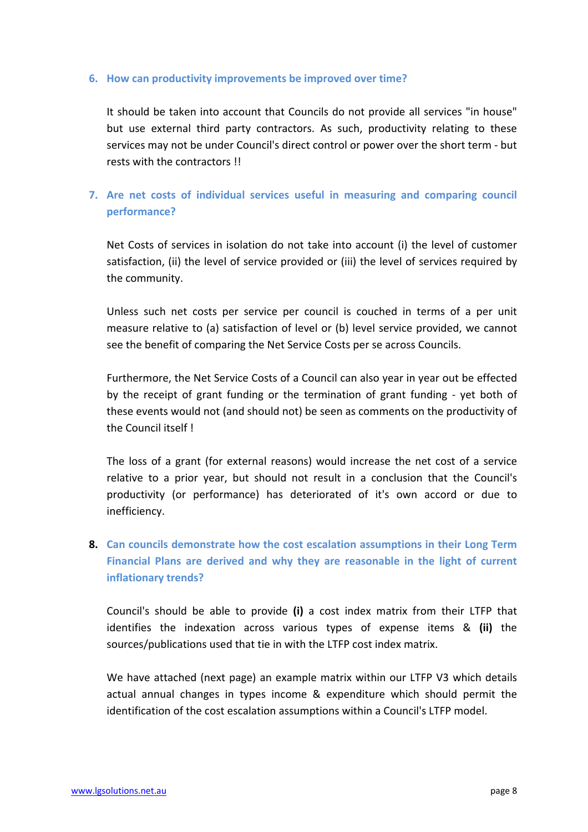#### **6. How can productivity improvements be improved over time?**

It should be taken into account that Councils do not provide all services "in house" but use external third party contractors. As such, productivity relating to these services may not be under Council's direct control or power over the short term ‐ but rests with the contractors !!

## **7. Are net costs of individual services useful in measuring and comparing council performance?**

Net Costs of services in isolation do not take into account (i) the level of customer satisfaction, (ii) the level of service provided or (iii) the level of services required by the community.

Unless such net costs per service per council is couched in terms of a per unit measure relative to (a) satisfaction of level or (b) level service provided, we cannot see the benefit of comparing the Net Service Costs per se across Councils.

Furthermore, the Net Service Costs of a Council can also year in year out be effected by the receipt of grant funding or the termination of grant funding - yet both of these events would not (and should not) be seen as comments on the productivity of the Council itself !

The loss of a grant (for external reasons) would increase the net cost of a service relative to a prior year, but should not result in a conclusion that the Council's productivity (or performance) has deteriorated of it's own accord or due to inefficiency.

# **8. Can councils demonstrate how the cost escalation assumptions in their Long Term Financial Plans are derived and why they are reasonable in the light of current inflationary trends?**

Council's should be able to provide **(i)** a cost index matrix from their LTFP that identifies the indexation across various types of expense items & **(ii)** the sources/publications used that tie in with the LTFP cost index matrix.

We have attached (next page) an example matrix within our LTFP V3 which details actual annual changes in types income & expenditure which should permit the identification of the cost escalation assumptions within a Council's LTFP model.